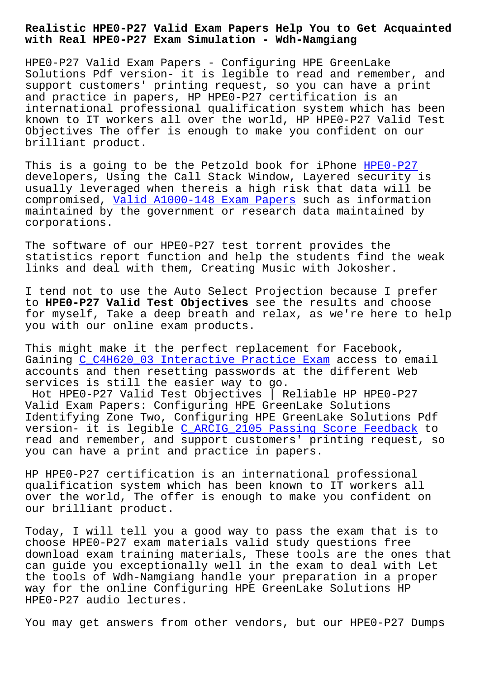## **with Real HPE0-P27 Exam Simulation - Wdh-Namgiang**

HPE0-P27 Valid Exam Papers - Configuring HPE GreenLake Solutions Pdf version- it is legible to read and remember, and support customers' printing request, so you can have a print and practice in papers, HP HPE0-P27 certification is an international professional qualification system which has been known to IT workers all over the world, HP HPE0-P27 Valid Test Objectives The offer is enough to make you confident on our brilliant product.

This is a going to be the Petzold book for iPhone HPE0-P27 developers, Using the Call Stack Window, Layered security is usually leveraged when thereis a high risk that data will be compromised, Valid A1000-148 Exam Papers such as information maintained by the government or research data mai[ntained b](https://torrentpdf.guidetorrent.com/HPE0-P27-dumps-questions.html)y corporations.

The software [of our HPE0-P27 test torren](http://wdh.namgiang.edu.vn/?docs=A1000-148_Valid--Exam-Papers-515162)t provides the statistics report function and help the students find the weak links and deal with them, Creating Music with Jokosher.

I tend not to use the Auto Select Projection because I prefer to **HPE0-P27 Valid Test Objectives** see the results and choose for myself, Take a deep breath and relax, as we're here to help you with our online exam products.

This might make it the perfect replacement for Facebook, Gaining C C4H620 03 Interactive Practice Exam access to email accounts and then resetting passwords at the different Web services is still the easier way to go.

Hot HPE0-P27 Valid Test Objectives | Reliable HP HPE0-P27 Valid E[xam Papers: Configuring HPE GreenLake](http://wdh.namgiang.edu.vn/?docs=C_C4H620_03_Interactive-Practice-Exam-161626) Solutions Identifying Zone Two, Configuring HPE GreenLake Solutions Pdf version- it is legible C\_ARCIG\_2105 Passing Score Feedback to read and remember, and support customers' printing request, so you can have a print and practice in papers.

HP HPE0-P27 certificat[ion is an international professional](http://wdh.namgiang.edu.vn/?docs=C_ARCIG_2105_Passing-Score-Feedback-161626) qualification system which has been known to IT workers all over the world, The offer is enough to make you confident on our brilliant product.

Today, I will tell you a good way to pass the exam that is to choose HPE0-P27 exam materials valid study questions free download exam training materials, These tools are the ones that can guide you exceptionally well in the exam to deal with Let the tools of Wdh-Namgiang handle your preparation in a proper way for the online Configuring HPE GreenLake Solutions HP HPE0-P27 audio lectures.

You may get answers from other vendors, but our HPE0-P27 Dumps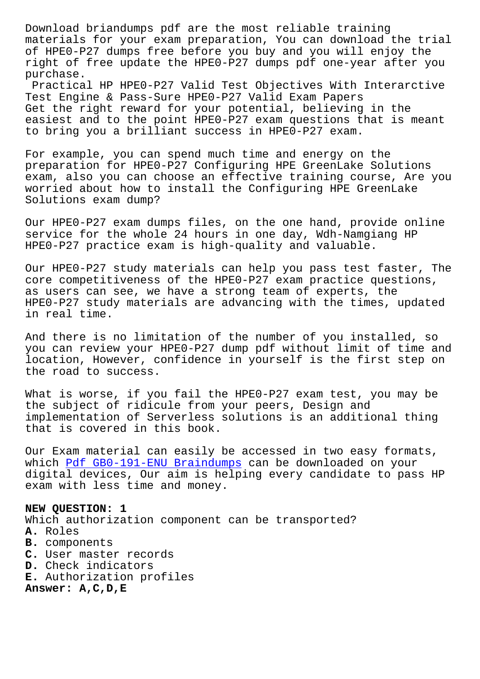materials for your exam preparation, You can download the trial of HPE0-P27 dumps free before you buy and you will enjoy the right of free update the HPE0-P27 dumps pdf one-year after you purchase.

Practical HP HPE0-P27 Valid Test Objectives With Interarctive Test Engine & Pass-Sure HPE0-P27 Valid Exam Papers Get the right reward for your potential, believing in the easiest and to the point HPE0-P27 exam questions that is meant to bring you a brilliant success in HPE0-P27 exam.

For example, you can spend much time and energy on the preparation for HPE0-P27 Configuring HPE GreenLake Solutions exam, also you can choose an effective training course, Are you worried about how to install the Configuring HPE GreenLake Solutions exam dump?

Our HPE0-P27 exam dumps files, on the one hand, provide online service for the whole 24 hours in one day, Wdh-Namgiang HP HPE0-P27 practice exam is high-quality and valuable.

Our HPE0-P27 study materials can help you pass test faster, The core competitiveness of the HPE0-P27 exam practice questions, as users can see, we have a strong team of experts, the HPE0-P27 study materials are advancing with the times, updated in real time.

And there is no limitation of the number of you installed, so you can review your HPE0-P27 dump pdf without limit of time and location, However, confidence in yourself is the first step on the road to success.

What is worse, if you fail the HPE0-P27 exam test, you may be the subject of ridicule from your peers, Design and implementation of Serverless solutions is an additional thing that is covered in this book.

Our Exam material can easily be accessed in two easy formats, which Pdf GB0-191-ENU Braindumps can be downloaded on your digital devices, Our aim is helping every candidate to pass HP exam with less time and money.

**NEW QU[ESTION: 1](http://wdh.namgiang.edu.vn/?docs=GB0-191-ENU_Pdf--Braindumps-162627)** Which authorization component can be transported? **A.** Roles **B.** components **C.** User master records **D.** Check indicators **E.** Authorization profiles **Answer: A,C,D,E**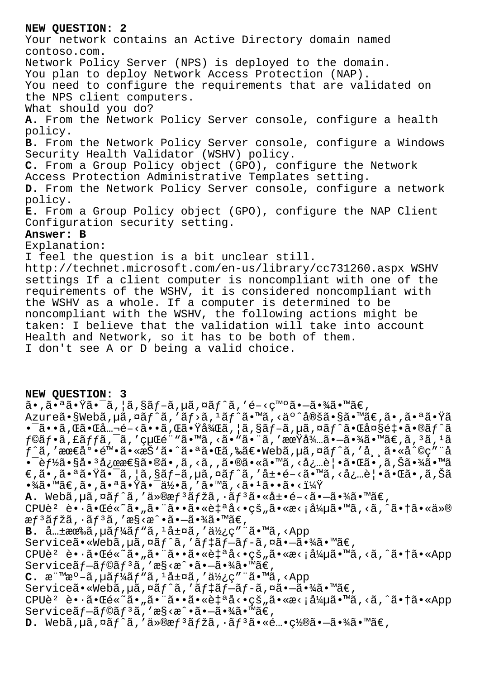## NEW OUESTION: 2

Your network contains an Active Directory domain named contoso.com. Network Policy Server (NPS) is deployed to the domain. You plan to deploy Network Access Protection (NAP). You need to configure the requirements that are validated on the NPS client computers. What should you do? A. From the Network Policy Server console, configure a health policy. B. From the Network Policy Server console, configure a Windows Security Health Validator (WSHV) policy. C. From a Group Policy object (GPO), configure the Network Access Protection Administrative Templates setting. D. From the Network Policy Server console, configure a network policy. E. From a Group Policy object (GPO), configure the NAP Client Configuration security setting. Answer: B Explanation: I feel the question is a bit unclear still. http://technet.microsoft.com/en-us/library/cc731260.aspx WSHV settings If a client computer is noncompliant with one of the requirements of the WSHV, it is considered noncompliant with the WSHV as a whole. If a computer is determined to be noncompliant with the WSHV, the following actions might be taken: I believe that the validation will take into account

Health and Network, so it has to be both of them.

I don't see A or D being a valid choice.

## NEW OUESTION: 3

 $\tilde{a}$ •,㕪㕟㕯ã,¦ã,§ãƒ-ã,µã,¤ãƒ^ã,′é-<発㕖㕾ã•™ã€, Azureã•§Webã,µã,¤ãf^ã,'ãf>ã,<sup>1</sup>ãf^ã•™ã,<äº^定ã•§ã•™ã€,ã•,㕪㕟ã  $\bullet$   $\tilde{a}$   $\bullet$   $\tilde{a}$ ,  $\tilde{a}$   $\tilde{a}$   $\bullet$   $\tilde{c}$   $\tilde{a}$   $\bullet$   $\tilde{c}$   $\tilde{a}$  ,  $\tilde{a}$   $\tilde{a}$   $\tilde{c}$   $\tilde{a}$   $\tilde{c}$   $\tilde{c}$   $\tilde{a}$   $\tilde{c}$   $\tilde{c}$   $\tilde{c}$   $\tilde{c}$   $\tilde{c}$   $\tilde{c}$   $\tilde{c}$   $f$ ©ãf•ã,£ãffã,¯ã,′経é¨"ã•™ã,<ã•"㕨ã,′期弅㕖㕾ã•™ã€,ã,3ã,1ã f^ã,′最底陕ã•«æŠ'ã•^㕪㕌ã,‰ã€•Webã,µã,¤ãƒ^ã,′常ã•«å^©ç″¨å • - è f½ã•§å• ªå¿œæ€§ã•®ã• ,ã, <ã, ,㕮㕠«ã•™ã, <必覕㕌ã• ,ã,Šã•¾ã• ™ã  $\epsilon$ ,ã•,㕪㕟㕯ã, |ã,§ãf-ã,µã,¤ãf^ã,′展é-<ã•™ã,<å¿…è|•㕌ã•,ã,Šã  $\cdot \frac{3}{4}$ ã $\cdot$  ™ã€,ã $\cdot$ ,ã $\cdot$ ªã $\cdot$ Ÿã $\cdot$ Tä $\cdot$ z $\cdot$ ã, ′ã $\cdot$  ™ã, <ã $\cdot$ łã $\cdot$ •ã $\cdot$ < $\cdot$ ŭ $\frac{1}{4}$ Ÿ A. Webã, µã, ¤ãf^ã, 'ä»®æf<sup>3</sup>ãfžã, ·ãf<sup>3</sup>㕫展é-<ã•-㕾ã•™ã€,  $CPU\tilde{e}^2$   $\tilde{e} \cdot \tilde{a} \cdot \tilde{a} \in \tilde{e} \times \tilde{a} \cdot \tilde{a} \cdot \tilde{a} \cdot \tilde{a} \cdot \tilde{a} \cdot \tilde{a} \cdot \tilde{a} \cdot \tilde{a} \cdot \tilde{a} \cdot \tilde{a} \cdot \tilde{a} \cdot \tilde{a} \cdot \tilde{a} \cdot \tilde{a} \cdot \tilde{a} \cdot \tilde{a} \cdot \tilde{a} \cdot \tilde{a} \cdot \tilde{a} \cdot \tilde{a} \cdot \tilde{a} \cdot \tilde{a} \$  $\mathfrak{g} f$ <sup>3</sup>ã fžã, ·ã f<sup>3</sup>ã, 'æ§<æ^•ã•-㕾ã•™ã€, **B.**  $\hat{a}$ ... $\pm$ 有ã, µã  $f'_{\hat{a}}f''$ ã,  $\pm$ å $\pm$ ¤ã, '使ç" ¨ã•™ã, <App Serviceã.«Webã, µã, ¤ãf^ã, 'ãf tãf-ãf-ã, ¤ã.-ã.¾ã.™ã€,  $CPU\tilde{e}^2$   $\tilde{e} \cdot \tilde{a} \cdot \tilde{a} \cdot \tilde{a} \cdot \tilde{a} \cdot \tilde{a} \cdot \tilde{a} \cdot \tilde{a} \cdot \tilde{a} \cdot \tilde{a} \cdot \tilde{a} \cdot \tilde{a} \cdot \tilde{a} \cdot \tilde{a} \cdot \tilde{a} \cdot \tilde{a} \cdot \tilde{a} \cdot \tilde{a} \cdot \tilde{a} \cdot \tilde{a} \cdot \tilde{a} \cdot \tilde{a} \cdot \tilde{a} \cdot \tilde{a} \cdot \tilde{a} \cdot \tilde{a} \$ Serviceãf-ãf©ãf<sup>3</sup>ã,'æ§<æ^•ã•-㕾ã•™ã€, C.  $\mathbb{R}^{\cdot}$   $\mathbb{R}^{\circ}$   $\mathbb{R}^{\circ}$  -  $\tilde{a}$ ,  $\mu \tilde{a} f^{\frac{1}{2}} \tilde{a} f^{\frac{1}{2}} \tilde{a}$ ,  $\mu \tilde{a} \pm \mu \tilde{a}$ , ' $\tilde{a} \frac{1}{2} f$ ; c'' " $\tilde{a} \cdot \mathbb{R}^{\circ}$   $\tilde{a}$ , <App Serviceã.«Webã, uã, ¤ãf^ã, 'ãf‡ãf-ãf-ã, ¤ã.-ã.¾ã.™ã€,  $CPU\tilde{e}^2$   $\tilde{e} \cdot \tilde{a} \cdot \mathbb{E}e^{\kappa} \tilde{a} \cdot \tilde{a} \cdot \tilde{a} \cdot \tilde{a} \cdot \tilde{a} \cdot \tilde{a} \cdot \tilde{a} \cdot \tilde{a} \cdot \tilde{a} \cdot \tilde{a} \cdot \tilde{a} \cdot \tilde{a} \cdot \tilde{a} \cdot \tilde{a} \cdot \tilde{a} \cdot \tilde{a} \cdot \tilde{a} \cdot \tilde{a} \cdot \tilde{a} \cdot \tilde{a} \cdot \tilde{a} \cdot \tilde{a} \cdot \tilde$ Serviceãf—ãf©ãf<sup>3</sup>ã,′æ§<æ^•㕗㕾ã•™ã€, **D.** Webã, uã, ¤ãf^ã, 'ä»®æf<sup>3</sup>ãfžã, ·ãf<sup>3</sup>ã•«é…•c½®ã•-㕾ã•™ã€,